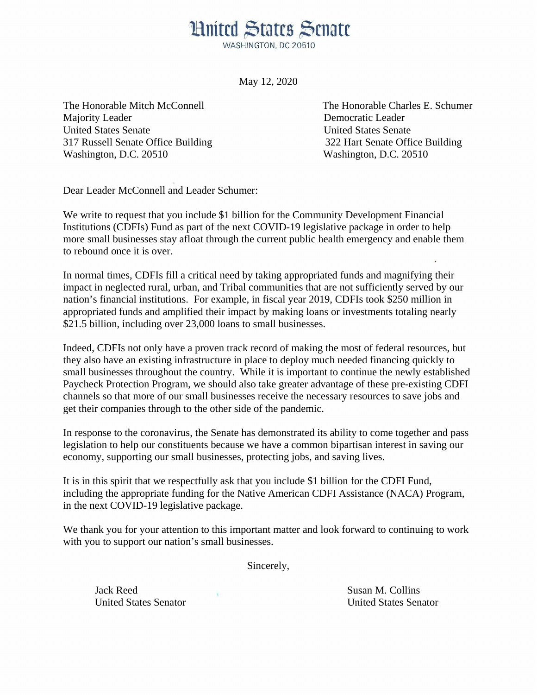## **Hnited States Senate**

WASHINGTON, DC 20510

May 12, 2020

Majority Leader **Democratic Leader Democratic Leader** United States Senate United States Senate 317 Russell Senate Office Building 322 Hart Senate Office Building Washington, D.C. 20510 Washington, D.C. 20510

The Honorable Mitch McConnell The Honorable Charles E. Schumer

Dear Leader McConnell and Leader Schumer:

We write to request that you include \$1 billion for the Community Development Financial Institutions (CDFIs) Fund as part of the next COVID-19 legislative package in order to help more small businesses stay afloat through the current public health emergency and enable them to rebound once it is over.

In normal times, CDFIs fill a critical need by taking appropriated funds and magnifying their impact in neglected rural, urban, and Tribal communities that are not sufficiently served by our nation's financial institutions. For example, in fiscal year 2019, CDFIs took \$250 million in appropriated funds and amplified their impact by making loans or investments totaling nearly \$21.5 billion, including over 23,000 loans to small businesses.

Indeed, CDFIs not only have a proven track record of making the most of federal resources, but they also have an existing infrastructure in place to deploy much needed financing quickly to small businesses throughout the country. While it is important to continue the newly established Paycheck Protection Program, we should also take greater advantage of these pre-existing CDFI channels so that more of our small businesses receive the necessary resources to save jobs and get their companies through to the other side of the pandemic.

In response to the coronavirus, the Senate has demonstrated its ability to come together and pass legislation to help our constituents because we have a common bipartisan interest in saving our economy, supporting our small businesses, protecting jobs, and saving lives.

It is in this spirit that we respectfully ask that you include \$1 billion for the CDFI Fund, including the appropriate funding for the Native American CDFI Assistance (NACA) Program, in the next COVID-19 legislative package.

We thank you for your attention to this important matter and look forward to continuing to work with you to support our nation's small businesses.

Sincerely,

Jack Reed Susan M. Collins United States Senator United States Senator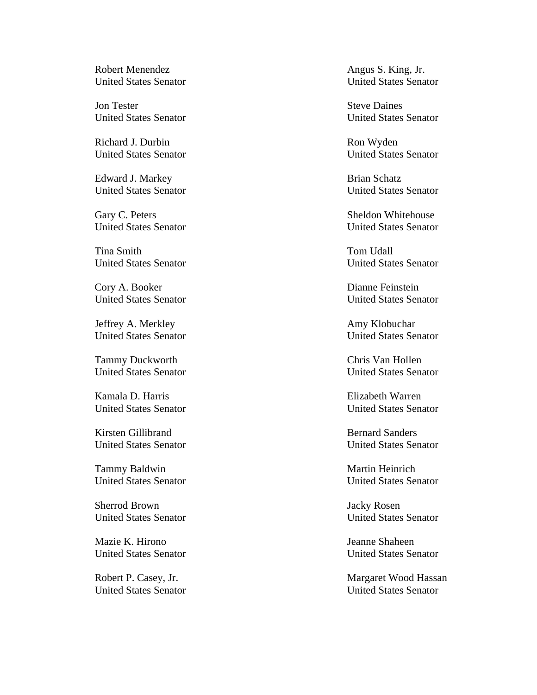Robert Menendez Angus S. King, Jr.

Jon Tester Steve Daines United States Senator United States Senator

Richard J. Durbin Ron Wyden

Edward J. Markey Brian Schatz

Tina Smith Tom Udall United States Senator United States Senator

Cory A. Booker Dianne Feinstein

Jeffrey A. Merkley **Amy Klobuchar** Amy Klobuchar

Tammy Duckworth Chris Van Hollen<br>
United States Senator United States Senator

Kamala D. Harris Elizabeth Warren

Kirsten Gillibrand Bernard Sanders

Tammy Baldwin Martin Heinrich

Sherrod Brown Jacky Rosen United States Senator United States Senator

Mazie K. Hirono Jeanne Shaheen United States Senator United States Senator

United States Senator United States Senator

United States Senator United States Senator

United States Senator United States Senator

Gary C. Peters Sheldon Whitehouse United States Senator United States Senator

United States Senator United States Senator

United States Senator United States Senator

United States Senator

United States Senator United States Senator

United States Senator United States Senator

United States Senator United States Senator

Robert P. Casey, Jr. Margaret Wood Hassan United States Senator United States Senator